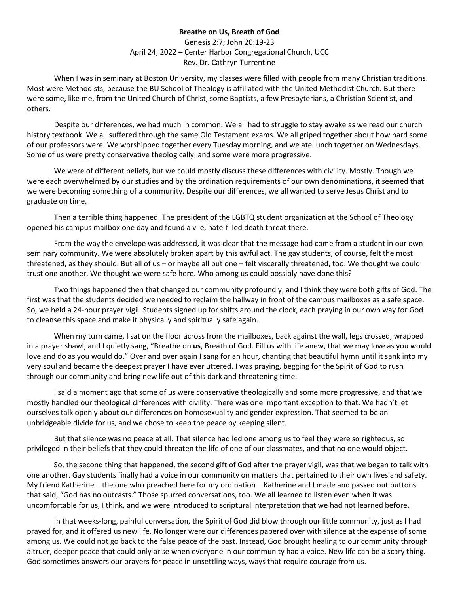## **Breathe on Us, Breath of God**

Genesis 2:7; John 20:19-23 April 24, 2022 – Center Harbor Congregational Church, UCC Rev. Dr. Cathryn Turrentine

When I was in seminary at Boston University, my classes were filled with people from many Christian traditions. Most were Methodists, because the BU School of Theology is affiliated with the United Methodist Church. But there were some, like me, from the United Church of Christ, some Baptists, a few Presbyterians, a Christian Scientist, and others.

Despite our differences, we had much in common. We all had to struggle to stay awake as we read our church history textbook. We all suffered through the same Old Testament exams. We all griped together about how hard some of our professors were. We worshipped together every Tuesday morning, and we ate lunch together on Wednesdays. Some of us were pretty conservative theologically, and some were more progressive.

We were of different beliefs, but we could mostly discuss these differences with civility. Mostly. Though we were each overwhelmed by our studies and by the ordination requirements of our own denominations, it seemed that we were becoming something of a community. Despite our differences, we all wanted to serve Jesus Christ and to graduate on time.

Then a terrible thing happened. The president of the LGBTQ student organization at the School of Theology opened his campus mailbox one day and found a vile, hate-filled death threat there.

From the way the envelope was addressed, it was clear that the message had come from a student in our own seminary community. We were absolutely broken apart by this awful act. The gay students, of course, felt the most threatened, as they should. But all of us – or maybe all but one – felt viscerally threatened, too. We thought we could trust one another. We thought we were safe here. Who among us could possibly have done this?

Two things happened then that changed our community profoundly, and I think they were both gifts of God. The first was that the students decided we needed to reclaim the hallway in front of the campus mailboxes as a safe space. So, we held a 24-hour prayer vigil. Students signed up for shifts around the clock, each praying in our own way for God to cleanse this space and make it physically and spiritually safe again.

When my turn came, I sat on the floor across from the mailboxes, back against the wall, legs crossed, wrapped in a prayer shawl, and I quietly sang, "Breathe on **us**, Breath of God. Fill us with life anew, that we may love as you would love and do as you would do." Over and over again I sang for an hour, chanting that beautiful hymn until it sank into my very soul and became the deepest prayer I have ever uttered. I was praying, begging for the Spirit of God to rush through our community and bring new life out of this dark and threatening time.

I said a moment ago that some of us were conservative theologically and some more progressive, and that we mostly handled our theological differences with civility. There was one important exception to that. We hadn't let ourselves talk openly about our differences on homosexuality and gender expression. That seemed to be an unbridgeable divide for us, and we chose to keep the peace by keeping silent.

But that silence was no peace at all. That silence had led one among us to feel they were so righteous, so privileged in their beliefs that they could threaten the life of one of our classmates, and that no one would object.

So, the second thing that happened, the second gift of God after the prayer vigil, was that we began to talk with one another. Gay students finally had a voice in our community on matters that pertained to their own lives and safety. My friend Katherine – the one who preached here for my ordination – Katherine and I made and passed out buttons that said, "God has no outcasts." Those spurred conversations, too. We all learned to listen even when it was uncomfortable for us, I think, and we were introduced to scriptural interpretation that we had not learned before.

In that weeks-long, painful conversation, the Spirit of God did blow through our little community, just as I had prayed for, and it offered us new life. No longer were our differences papered over with silence at the expense of some among us. We could not go back to the false peace of the past. Instead, God brought healing to our community through a truer, deeper peace that could only arise when everyone in our community had a voice. New life can be a scary thing. God sometimes answers our prayers for peace in unsettling ways, ways that require courage from us.